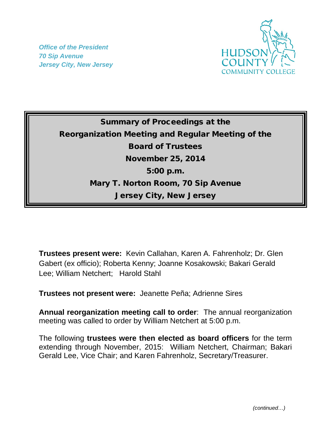*Office of the President 70 Sip Avenue Jersey City, New Jersey*



## Summary of Proceedings at the Reorganization Meeting and Regular Meeting of the Board of Trustees November 25, 2014 5:00 p.m. Mary T. Norton Room, 70 Sip Avenue Jersey City, New Jersey

**Trustees present were:**Kevin Callahan, Karen A. Fahrenholz; Dr. Glen Gabert (ex officio); Roberta Kenny; Joanne Kosakowski; Bakari Gerald Lee; William Netchert; Harold Stahl

**Trustees not present were:** Jeanette Peña; Adrienne Sires

**Annual reorganization meeting call to order**: The annual reorganization meeting was called to order by William Netchert at 5:00 p.m.

The following **trustees were then elected as board officers** for the term extending through November, 2015: William Netchert, Chairman; Bakari Gerald Lee, Vice Chair; and Karen Fahrenholz, Secretary/Treasurer.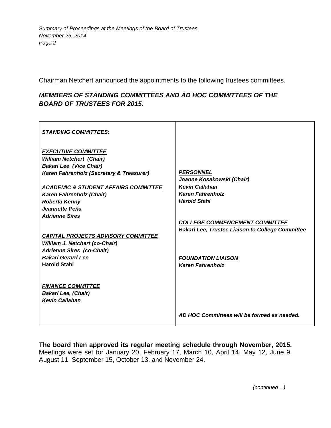Chairman Netchert announced the appointments to the following trustees committees.

## *MEMBERS OF STANDING COMMITTEES AND AD HOC COMMITTEES OF THE BOARD OF TRUSTEES FOR 2015.*

| <b>STANDING COMMITTEES:</b>                                                                                                                                                                                                                                                                                                                                                                                                                          |                                                                                                                                                                                                                                                           |
|------------------------------------------------------------------------------------------------------------------------------------------------------------------------------------------------------------------------------------------------------------------------------------------------------------------------------------------------------------------------------------------------------------------------------------------------------|-----------------------------------------------------------------------------------------------------------------------------------------------------------------------------------------------------------------------------------------------------------|
| <b>EXECUTIVE COMMITTEE</b><br><b>William Netchert (Chair)</b><br><b>Bakari Lee (Vice Chair)</b><br>Karen Fahrenholz (Secretary & Treasurer)<br><b>ACADEMIC &amp; STUDENT AFFAIRS COMMITTEE</b><br>Karen Fahrenholz (Chair)<br><b>Roberta Kenny</b><br>Jeannette Peña<br><b>Adrienne Sires</b><br><b>CAPITAL PROJECTS ADVISORY COMMITTEE</b><br><b>William J. Netchert (co-Chair)</b><br><b>Adrienne Sires (co-Chair)</b><br><b>Bakari Gerard Lee</b> | <b>PERSONNEL</b><br>Joanne Kosakowski (Chair)<br><b>Kevin Callahan</b><br><b>Karen Fahrenholz</b><br><b>Harold Stahl</b><br><b>COLLEGE COMMENCEMENT COMMITTEE</b><br><b>Bakari Lee, Trustee Liaison to College Committee</b><br><b>FOUNDATION LIAISON</b> |
| <b>Harold Stahl</b>                                                                                                                                                                                                                                                                                                                                                                                                                                  | <b>Karen Fahrenholz</b>                                                                                                                                                                                                                                   |
| <b>FINANCE COMMITTEE</b><br><b>Bakari Lee, (Chair)</b><br><b>Kevin Callahan</b>                                                                                                                                                                                                                                                                                                                                                                      | AD HOC Committees will be formed as needed.                                                                                                                                                                                                               |

**The board then approved its regular meeting schedule through November, 2015.**  Meetings were set for January 20, February 17, March 10, April 14, May 12, June 9, August 11, September 15, October 13, and November 24.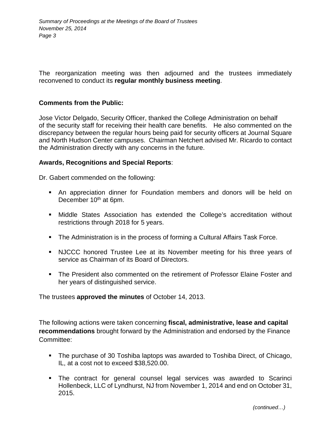The reorganization meeting was then adjourned and the trustees immediately reconvened to conduct its **regular monthly business meeting**.

## **Comments from the Public:**

Jose Victor Delgado, Security Officer, thanked the College Administration on behalf of the security staff for receiving their health care benefits. He also commented on the discrepancy between the regular hours being paid for security officers at Journal Square and North Hudson Center campuses. Chairman Netchert advised Mr. Ricardo to contact the Administration directly with any concerns in the future.

## **Awards, Recognitions and Special Reports**:

Dr. Gabert commended on the following:

- An appreciation dinner for Foundation members and donors will be held on December 10<sup>th</sup> at 6pm.
- Middle States Association has extended the College's accreditation without restrictions through 2018 for 5 years.
- The Administration is in the process of forming a Cultural Affairs Task Force.
- NJCCC honored Trustee Lee at its November meeting for his three years of service as Chairman of its Board of Directors.
- The President also commented on the retirement of Professor Elaine Foster and her years of distinguished service.

The trustees **approved the minutes** of October 14, 2013.

The following actions were taken concerning **fiscal, administrative, lease and capital recommendations** brought forward by the Administration and endorsed by the Finance Committee:

- The purchase of 30 Toshiba laptops was awarded to Toshiba Direct, of Chicago, IL, at a cost not to exceed \$38,520.00.
- The contract for general counsel legal services was awarded to Scarinci Hollenbeck, LLC of Lyndhurst, NJ from November 1, 2014 and end on October 31, 2015.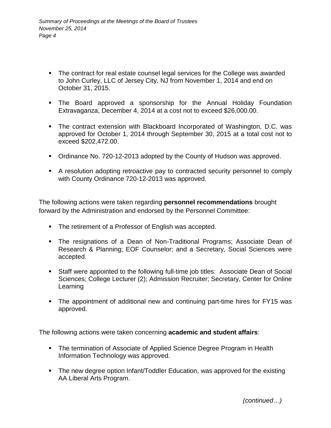- The contract for real estate counsel legal services for the College was awarded to John Curley, LLC of Jersey City, NJ from November 1, 2014 and end on October 31, 2015.
- The Board approved a sponsorship for the Annual Holiday Foundation Extravaganza, December 4, 2014 at a cost not to exceed \$26,000.00.
- The contract extension with Blackboard Incorporated of Washington, D.C. was approved for October 1, 2014 through September 30, 2015 at a total cost not to exceed \$202,472.00.
- Ordinance No. 720-12-2013 adopted by the County of Hudson was approved.
- A resolution adopting retroactive pay to contracted security personnel to comply with County Ordinance 720-12-2013 was approved.

The following actions were taken regarding **personnel recommendations** brought forward by the Administration and endorsed by the Personnel Committee:

- The retirement of a Professor of English was accepted.
- The resignations of a Dean of Non-Traditional Programs; Associate Dean of Research & Planning; EOF Counselor; and a Secretary, Social Sciences were accepted.
- Staff were appointed to the following full-time job titles: Associate Dean of Social Sciences; College Lecturer (2); Admission Recruiter; Secretary, Center for Online Learning
- The appointment of additional new and continuing part-time hires for FY15 was approved.

The following actions were taken concerning **academic and student affairs**:

- The termination of Associate of Applied Science Degree Program in Health Information Technology was approved.
- The new degree option Infant/Toddler Education, was approved for the existing AA Liberal Arts Program.